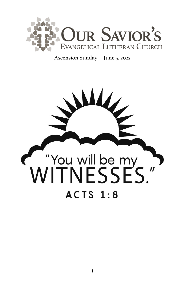

Ascension Sunday – June 5, 2022

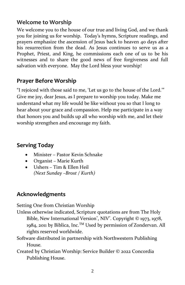# **Welcome to Worship**

We welcome you to the house of our true and living God, and we thank you for joining us for worship. Today's hymns, Scripture readings, and prayers emphasize the ascension of Jesus back to heaven 40 days after his resurrection from the dead. As Jesus continues to serve us as a Prophet, Priest, and King, he commissions each one of us to be his witnesses and to share the good news of free forgiveness and full salvation with everyone. May the Lord bless your worship!

# **Prayer Before Worship**

"I rejoiced with those said to me, 'Let us go to the house of the Lord.'" Give me joy, dear Jesus, as I prepare to worship you today. Make me understand what my life would be like without you so that I long to hear about your grace and compassion. Help me participate in a way that honors you and builds up all who worship with me, and let their worship strengthen and encourage my faith.

# **Serving Today**

- Minister Pastor Kevin Schnake
- Organist Marie Kurth
- Ushers Tim & Ellen Heil *(Next Sunday –Brost / Kurth)*

# **Acknowledgments**

Setting One from Christian Worship

Unless otherwise indicated, Scripture quotations are from The Holy Bible, New International Version<sup>®</sup>, NIV<sup>®</sup>. Copyright © 1973, 1978, 1984, 2011 by Biblica, Inc.<sup>TM</sup> Used by permission of Zondervan. All rights reserved worldwide.

Software distributed in partnership with Northwestern Publishing House.

Created by Christian Worship: Service Builder © 2022 Concordia Publishing House.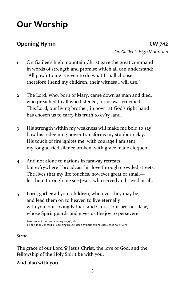# **Our Worship**

**Opening Hymn** *CW 742 On Galilee's High Mountain*

- 1 On Galilee's high mountain Christ gave the great command in words of strength and promise which all can understand: "All pow'r to me is given to do what I shall choose; therefore I send my children, their witness I will use."
- 2 The Lord, who, born of Mary, came down as man and died, who preached to all who listened, for us was crucified. This Lord, our living brother, in pow'r at God's right hand has chosen us to carry his truth to ev'ry land.
- 3 His strength within my weakness will make me bold to say how his redeeming power transforms my stubborn clay. His touch of fire ignites me, with courage I am sent, my tongue-tied silence broken, with grace made eloquent.
- 4 And not alone to nations in faraway retreats, but ev'rywhere I broadcast his love through crowded streets. The lives that my life touches, however great or small let them through me see Jesus, who served and saved us all.
- 5 Lord, gather all your children, wherever they may be, and lead them on to heaven to live eternally with you, our loving Father, and Christ, our brother dear, whose Spirit guards and gives us the joy to persevere.

Text: Henry L. Lettermann, 1932–1996, abr. Text: © 1982 Concordia Publishing House. Used by permission: OneLicense no. 716671

#### *Stand*

The grace of our Lord  $\mathbf{\hat{P}}$  Jesus Christ, the love of God, and the fellowship of the Holy Spirit be with you.

#### **And also with you.**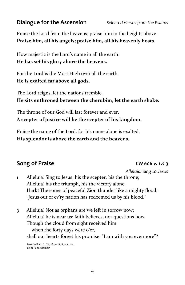# **Dialogue for the Ascension** *Selected Verses from the Psalms*

Praise the Lord from the heavens; praise him in the heights above. **Praise him, all his angels; praise him, all his heavenly hosts.**

How majestic is the Lord's name in all the earth! **He has set his glory above the heavens.**

For the Lord is the Most High over all the earth. **He is exalted far above all gods.**

The Lord reigns, let the nations tremble. **He sits enthroned between the cherubim, let the earth shake.**

The throne of our God will last forever and ever. **A scepter of justice will be the scepter of his kingdom.**

Praise the name of the Lord, for his name alone is exalted. **His splendor is above the earth and the heavens.**

# **Song of Praise** *CW 606 v. 1 & 3*

*Alleluia! Sing to Jesus*

- 1 Alleluia! Sing to Jesus; his the scepter, his the throne; Alleluia! his the triumph, his the victory alone. Hark! The songs of peaceful Zion thunder like a mighty flood: "Jesus out of ev'ry nation has redeemed us by his blood."
- 3 Alleluia! Not as orphans are we left in sorrow now; Alleluia! he is near us; faith believes, nor questions how. Though the cloud from sight received him when the forty days were o'er, shall our hearts forget his promise: "I am with you evermore"?

Text: William C. Dix, 1837–1898, abr., alt. Text: Public domain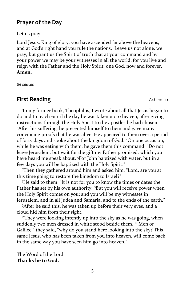#### **Prayer of the Day**

Let us pray.

Lord Jesus, King of glory, you have ascended far above the heavens, and at God's right hand you rule the nations. Leave us not alone, we pray, but grant us the Spirit of truth that at your command and by your power we may be your witnesses in all the world; for you live and reign with the Father and the Holy Spirit, one God, now and forever. **Amen.**

*Be seated*

### **First Reading** *Acts 1:1–11*

1 In my former book, Theophilus, I wrote about all that Jesus began to do and to teach <sup>2</sup>until the day he was taken up to heaven, after giving instructions through the Holy Spirit to the apostles he had chosen. <sup>3</sup>After his suffering, he presented himself to them and gave many convincing proofs that he was alive. He appeared to them over a period of forty days and spoke about the kingdom of God. <sup>4</sup>On one occasion, while he was eating with them, he gave them this command: "Do not leave Jerusalem, but wait for the gift my Father promised, which you have heard me speak about. <sup>5</sup>For John baptized with water, but in a few days you will be baptized with the Holy Spirit."

<sup>6</sup>Then they gathered around him and asked him, "Lord, are you at this time going to restore the kingdom to Israel?"

<sup>7</sup>He said to them: "It is not for you to know the times or dates the Father has set by his own authority. <sup>8</sup>But you will receive power when the Holy Spirit comes on you; and you will be my witnesses in Jerusalem, and in all Judea and Samaria, and to the ends of the earth."

<sup>9</sup>After he said this, he was taken up before their very eyes, and a cloud hid him from their sight.

<sup>10</sup>They were looking intently up into the sky as he was going, when suddenly two men dressed in white stood beside them. <sup>11"</sup>Men of Galilee," they said, "why do you stand here looking into the sky? This same Jesus, who has been taken from you into heaven, will come back in the same way you have seen him go into heaven."

The Word of the Lord. **Thanks be to God.**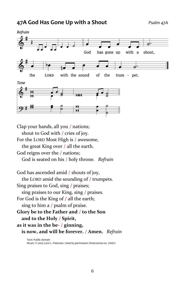# **47A God Has Gone Up with a Shout** *Psalm 47A*



Clap your hands, all you / nations;

shout to God with / cries of joy.

For the LORD Most High is / awesome,

the great King over / all the earth.

God reigns over the / nations;

God is seated on his / holy throne. *Refrain*

God has ascended amid / shouts of joy, the LORD amid the sounding of / trumpets. Sing praises to God, sing / praises; sing praises to our King, sing / praises. For God is the King of / all the earth; sing to him a / psalm of praise. **Glory be to the Father and** / **to the Son and to the Holy** / **Spirit, as it was in the be-** / **ginning, is now, and will be forever.** / **Amen.** *Refrain*

Text: Public domain Music: © 2005 Lynn L. Petersen. Used by permission: OneLicense no. 716671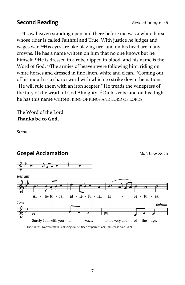### **Second Reading** *Revelation 19:11–16*

<sup>11</sup>I saw heaven standing open and there before me was a white horse, whose rider is called Faithful and True. With justice he judges and wages war. <sup>12</sup>His eyes are like blazing fire, and on his head are many crowns. He has a name written on him that no one knows but he himself. <sup>13</sup>He is dressed in a robe dipped in blood, and his name is the Word of God. <sup>14</sup>The armies of heaven were following him, riding on white horses and dressed in fine linen, white and clean. <sup>15</sup>Coming out of his mouth is a sharp sword with which to strike down the nations. "He will rule them with an iron scepter." He treads the winepress of the fury of the wrath of God Almighty. <sup>16</sup>On his robe and on his thigh he has this name written: KING OF KINGS AND LORD OF LORDS

The Word of the Lord. **Thanks be to God.**

*Stand*



Tune: © 2021 Northwestern Publishing House. Used by permission: OneLicense no. 716671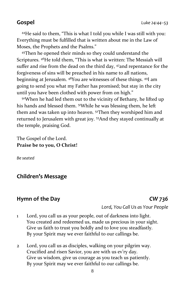<sup>44</sup>He said to them, "This is what I told you while I was still with you: Everything must be fulfilled that is written about me in the Law of Moses, the Prophets and the Psalms."

<sup>45</sup>Then he opened their minds so they could understand the Scriptures. <sup>46</sup>He told them, "This is what is written: The Messiah will suffer and rise from the dead on the third day, <sup>47</sup>and repentance for the forgiveness of sins will be preached in his name to all nations, beginning at Jerusalem. <sup>48</sup>You are witnesses of these things. <sup>49</sup>I am going to send you what my Father has promised; but stay in the city until you have been clothed with power from on high."

50When he had led them out to the vicinity of Bethany, he lifted up his hands and blessed them. <sup>51</sup>While he was blessing them, he left them and was taken up into heaven. <sup>52</sup>Then they worshiped him and returned to Jerusalem with great joy. <sup>53</sup>And they stayed continually at the temple, praising God.

The Gospel of the Lord. **Praise be to you, O Christ!**

*Be seated*

#### **Children's Message**

#### **Hymn of the Day** *CW 736*

*Lord, You Call Us as Your People*

- 1 Lord, you call us as your people, out of darkness into light. You created and redeemed us, made us precious in your sight. Give us faith to trust you boldly and to love you steadfastly. By your Spirit may we ever faithful to our callings be.
- 2 Lord, you call us as disciples, walking on your pilgrim way. Crucified and risen Savior, you are with us ev'ry day. Give us wisdom, give us courage as you teach us patiently. By your Spirit may we ever faithful to our callings be.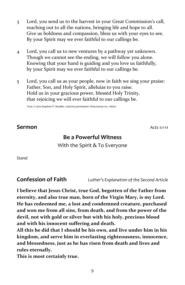- 3 Lord, you send us to the harvest in your Great Commission's call, reaching out to all the nations, bringing life and hope to all. Give us boldness and compassion, bless us with your eyes to see. By your Spirit may we ever faithful to our callings be.
- 4 Lord, you call us to new ventures by a pathway yet unknown. Though we cannot see the ending, we will follow you alone. Knowing that your hand is guiding and you love us faithfully, by your Spirit may we ever faithful to our callings be.
- 5 Lord, you call us as your people, now in faith we sing your praise: Father, Son, and Holy Spirit, alleluias to you raise. Hold us in your gracious power, blessèd Holy Trinity, that rejoicing we will ever faithful to our callings be.

Text: © 2010 Stephen P. Mueller. Used by permission: OneLicense no. 716671

#### **Sermon** *Acts 1:1-11*

#### **Be a Powerful Witness**

With the Spirit & To Everyone

*Stand*

**Confession of Faith** *Luther's Explanation of the Second Article*

**I believe that Jesus Christ, true God, begotten of the Father from eternity, and also true man, born of the Virgin Mary, is my Lord. He has redeemed me, a lost and condemned creature, purchased and won me from all sins, from death, and from the power of the devil, not with gold or silver but with his holy, precious blood and with his innocent suffering and death.**

**All this he did that I should be his own, and live under him in his kingdom, and serve him in everlasting righteousness, innocence, and blessedness, just as he has risen from death and lives and rules eternally.**

**This is most certainly true.**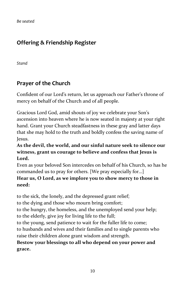*Be seated*

# **Offering & Friendship Register**

*Stand*

# **Prayer of the Church**

Confident of our Lord's return, let us approach our Father's throne of mercy on behalf of the Church and of all people.

Gracious Lord God, amid shouts of joy we celebrate your Son's ascension into heaven where he is now seated in majesty at your right hand. Grant your Church steadfastness in these gray and latter days that she may hold to the truth and boldly confess the saving name of Jesus.

**As the devil, the world, and our sinful nature seek to silence our witness, grant us courage to believe and confess that Jesus is Lord.** 

Even as your beloved Son intercedes on behalf of his Church, so has he commanded us to pray for others. [We pray especially for…]

#### **Hear us, O Lord, as we implore you to show mercy to those in need:**

to the sick, the lonely, and the depressed grant relief;

to the dying and those who mourn bring comfort;

to the hungry, the homeless, and the unemployed send your help; to the elderly, give joy for living life to the full;

to the young, send patience to wait for the fuller life to come;

to husbands and wives and their families and to single parents who raise their children alone grant wisdom and strength.

#### **Bestow your blessings to all who depend on your power and grace.**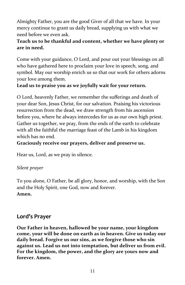Almighty Father, you are the good Giver of all that we have. In your mercy continue to grant us daily bread, supplying us with what we need before we even ask.

### **Teach us to be thankful and content, whether we have plenty or are in need.**

Come with your guidance, O Lord, and pour out your blessings on all who have gathered here to proclaim your love in speech, song, and symbol. May our worship enrich us so that our work for others adorns your love among them.

#### **Lead us to praise you as we joyfully wait for your return.**

O Lord, heavenly Father, we remember the sufferings and death of your dear Son, Jesus Christ, for our salvation. Praising his victorious resurrection from the dead, we draw strength from his ascension before you, where he always intercedes for us as our own high priest. Gather us together, we pray, from the ends of the earth to celebrate with all the faithful the marriage feast of the Lamb in his kingdom which has no end.

**Graciously receive our prayers, deliver and preserve us.** 

Hear us, Lord, as we pray in silence.

#### *Silent prayer*

To you alone, O Father, be all glory, honor, and worship, with the Son and the Holy Spirit, one God, now and forever. **Amen.**

### **Lord's Prayer**

**Our Father in heaven, hallowed be your name, your kingdom come, your will be done on earth as in heaven. Give us today our daily bread. Forgive us our sins, as we forgive those who sin against us. Lead us not into temptation, but deliver us from evil. For the kingdom, the power, and the glory are yours now and forever. Amen.**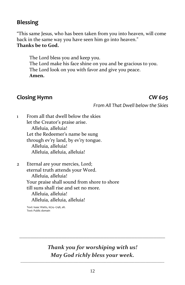# **Blessing**

"This same Jesus, who has been taken from you into heaven, will come back in the same way you have seen him go into heaven." **Thanks be to God.**

The Lord bless you and keep you. The Lord make his face shine on you and be gracious to you. The Lord look on you with favor and give you peace. **Amen.**

### **Closing Hymn** *CW 605*

*From All That Dwell below the Skies*

1 From all that dwell below the skies let the Creator's praise arise. Alleluia, alleluia! Let the Redeemer's name be sung through ev'ry land, by ev'ry tongue. Alleluia, alleluia! Alleluia, alleluia, alleluia!

2 Eternal are your mercies, Lord; eternal truth attends your Word. Alleluia, alleluia! Your praise shall sound from shore to shore till suns shall rise and set no more. Alleluia, alleluia! Alleluia, alleluia, alleluia!

Text: Isaac Watts, 1674–1748, alt. Text: Public domain

# *Thank you for worshiping with us! May God richly bless your week.*

*\_\_\_\_\_\_\_\_\_\_\_\_\_\_\_\_\_\_\_\_\_\_\_\_\_\_\_\_\_\_\_\_\_\_\_\_\_\_\_\_\_\_\_\_\_\_\_\_\_\_\_\_*

\_\_\_\_\_\_\_\_\_\_\_\_\_\_\_\_\_\_\_\_\_\_\_\_\_\_\_\_\_\_\_\_\_\_\_\_\_\_\_\_\_\_\_\_\_\_\_\_\_\_\_\_\_\_\_\_\_\_\_\_\_\_\_\_\_\_\_\_\_\_\_\_\_\_\_\_\_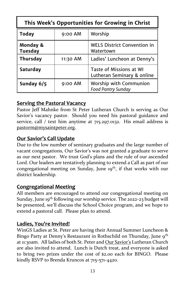| This Week's Opportunities for Growing in Christ |           |                                                       |  |  |  |
|-------------------------------------------------|-----------|-------------------------------------------------------|--|--|--|
| <b>Today</b>                                    | 9:00 AM   | Worship                                               |  |  |  |
| Monday &<br><b>Tuesday</b>                      |           | <b>WELS District Convention in</b><br>Watertown       |  |  |  |
| <b>Thursday</b>                                 | 11:30 AM  | Ladies' Luncheon at Denny's                           |  |  |  |
| <b>Saturday</b>                                 |           | Taste of Missions at WI<br>Lutheran Seminary & online |  |  |  |
| Sunday 6/5                                      | $9:00$ AM | Worship with Communion<br><b>Food Pantry Sunday</b>   |  |  |  |

#### **Serving the Pastoral Vacancy**

Pastor Jeff Mahnke from St Peter Lutheran Church is serving as Our Savior's vacancy pastor. Should you need his pastoral guidance and service, call / text him anytime at 715.297.0132. His email address is [pastorm@mysaintpeter.org.](mailto:pastorm@mysaintpeter.org)

#### **Our Savior's Call Update**

Due to the low number of seminary graduates and the large number of vacant congregations, Our Savior's was not granted a graduate to serve as our next pastor. We trust God's plans and the rule of our ascended Lord. Our leaders are tentatively planning to extend a Call as part of our congregational meeting on Sunday, June 19<sup>th</sup>, if that works with our district leadership.

#### **Congregational Meeting**

All members are encouraged to attend our congregational meeting on Sunday, June 19<sup>th</sup> following our worship service. The 2022-23 budget will be presented, we'll discuss the School Choice program, and we hope to extend a pastoral call. Please plan to attend.

#### **Ladies, You're Invited!**

WinGS Ladies at St. Peter are having their Annual Summer Luncheon & Bingo Party at Denny's Restaurant in Rothschild on Thursday, June 9<sup>th</sup> at 11:30am. All ladies of both St. Peter and Our Savior's Lutheran Church are also invited to attend. Lunch is Dutch treat, and everyone is asked to bring two prizes under the cost of \$2.00 each for BINGO. Please kindly RSVP to Brenda Kruncos at 715-571-4420.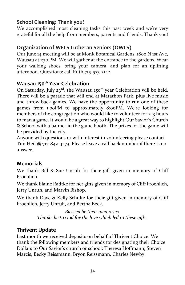# **School Cleaning: Thank you!**

We accomplished most cleaning tasks this past week and we're very grateful for all the help from members, parents and friends. Thank you!

### **Organization of WELS Lutheran Seniors (OWLS)**

Our June 14 meeting will be at Monk Botanical Gardens, 1800 N 1st Ave, Wausau at 1:30 PM. We will gather at the entrance to the gardens. Wear your walking shoes, bring your camera, and plan for an uplifting afternoon. Questions: call Ruth 715-573-2142.

#### **Wausau 150th Year Celebration**

On Saturday, July 23<sup>rd</sup>, the Wausau 150<sup>th</sup> year Celebration will be held. There will be a parade that will end at Marathon Park, plus live music and throw back games. We have the opportunity to run one of these games from 1:00PM to approximately 8:00PM. We're looking for members of the congregation who would like to volunteer for 2-3 hours to man a game. It would be a great way to highlight Our Savior's Church & School with a banner in the game booth. The prizes for the game will be provided by the city.

Anyone with questions or with interest in volunteering please contact Tim Heil @ 715-842-4573. Please leave a call back number if there is no answer.

#### **Memorials**

We thank Bill & Sue Unruh for their gift given in memory of Cliff Froehlich.

We thank Elaine Radtke for her gifts given in memory of Cliff Froehlich, Jerry Unruh, and Marvin Bishop.

We thank Dave & Kelly Schultz for their gift given in memory of Cliff Froehlich, Jerry Unruh, and Bertha Beck.

> *Blessed be their memories. Thanks be to God for the love which led to these gifts.*

#### **Thrivent Update**

Last month we received deposits on behalf of Thrivent Choice. We thank the following members and friends for designating their Choice Dollars to Our Savior's church or school: Theresa Hoffmann, Steven Marcis, Becky Reissmann, Bryon Reissmann, Charles Newby.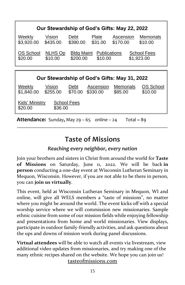| Our Stewardship of God's Gifts: May 22, 2022 |                    |                                                                                              |                       |                             |                             |  |  |
|----------------------------------------------|--------------------|----------------------------------------------------------------------------------------------|-----------------------|-----------------------------|-----------------------------|--|--|
| Weekly<br>\$3,920.00                         | Vision<br>\$435.00 | Debt<br>\$390.00                                                                             | Plate<br>\$31.00      | Ascension<br>\$170.00       | <b>Memorials</b><br>\$10.00 |  |  |
| OS School<br>\$20.00                         | NLHS Op<br>\$10.00 | <b>Bldg Maint</b><br><b>Publications</b><br>School Fees<br>\$200.00<br>\$1,923.00<br>\$10.00 |                       |                             |                             |  |  |
|                                              |                    |                                                                                              |                       |                             |                             |  |  |
| Our Stewardship of God's Gifts: May 31, 2022 |                    |                                                                                              |                       |                             |                             |  |  |
| Weekly<br>\$1,840.00                         | Vision<br>\$255.00 | Debt<br>\$70.00                                                                              | Ascension<br>\$330.00 | <b>Memorials</b><br>\$85.00 | OS School<br>\$10.00        |  |  |

Kids' Ministry School Fees \$20.00 \$36.00

**Attendance:** Sunday, May  $29 - 65$  online  $-24$  Total = 89

# **Taste of Missions**

**\_\_\_\_\_\_\_\_\_\_\_\_\_\_\_\_\_\_\_\_\_\_\_\_\_\_\_\_\_\_\_\_\_\_\_\_\_\_\_\_\_\_\_\_\_\_\_\_\_\_\_\_\_\_\_\_\_\_\_\_\_\_\_\_\_\_\_\_\_\_\_\_\_\_\_\_\_\_\_\_**

### *Reaching every neighbor, every nation*

Join your brothers and sisters in Christ from around the world for **Taste of Missions** on Saturday, June 11, 2022. We will be back **in person** conducting a one-day event at Wisconsin Lutheran Seminary in Mequon, Wisconsin. However, if you are not able to be there in person, you can **join us virtually**.

This event, held at Wisconsin Lutheran Seminary in Mequon, WI and online, will give all WELS members a "taste of missions", no matter where you might be around the world. The event kicks off with a special worship service where we will commission new missionaries. Sample ethnic cuisine from some of our mission fields while enjoying fellowship and presentations from home and world missionaries. View displays, participate in outdoor family-friendly activities, and ask questions about the ups and downs of mission work during panel discussions.

**Virtual attendees** will be able to watch all events via livestream, view additional video updates from missionaries, and try making one of the many ethnic recipes shared on the website. We hope you can join us!

tasteofmissions.com